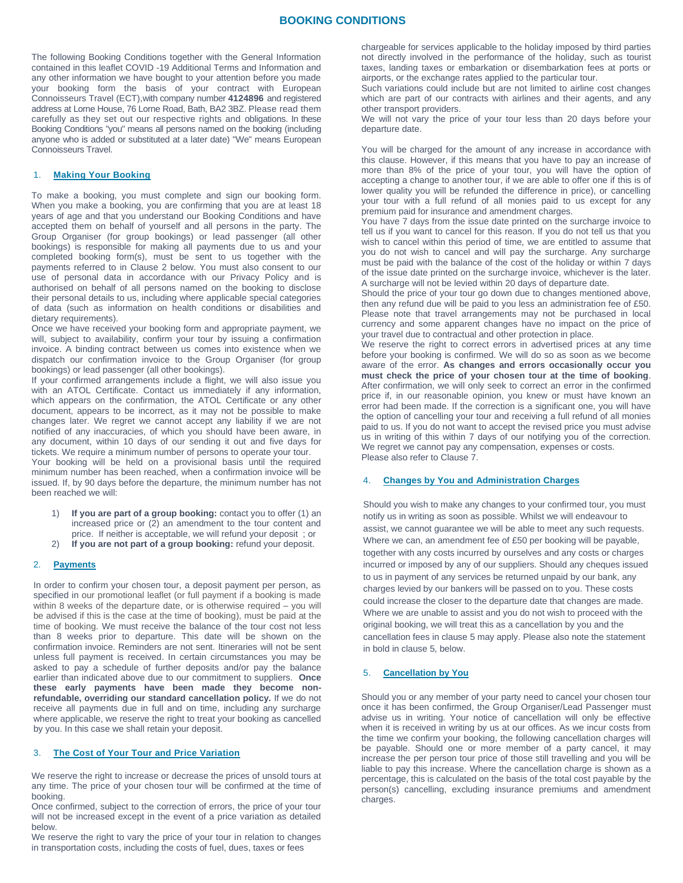# **BOOKING CONDITIONS**

The following Booking Conditions together with the General Information contained in this leaflet COVID -19 Additional Terms and Information and any other information we have bought to your attention before you made your booking form the basis of your contract with European Connoisseurs Travel (ECT),with company number **4124896** and registered address at Lorne House, 76 Lorne Road, Bath, BA2 3BZ. Please read them carefully as they set out our respective rights and obligations. In these Booking Conditions "you" means all persons named on the booking (including anyone who is added or substituted at a later date) "We" means European Connoisseurs Travel.

# 1. **Making Your Booking**

To make a booking, you must complete and sign our booking form. When you make a booking, you are confirming that you are at least 18 years of age and that you understand our Booking Conditions and have accepted them on behalf of yourself and all persons in the party. The Group Organiser (for group bookings) or lead passenger (all other bookings) is responsible for making all payments due to us and your completed booking form(s), must be sent to us together with the payments referred to in Clause 2 below. You must also consent to our use of personal data in accordance with our Privacy Policy and is authorised on behalf of all persons named on the booking to disclose their personal details to us, including where applicable special categories of data (such as information on health conditions or disabilities and dietary requirements).

Once we have received your booking form and appropriate payment, we will, subject to availability, confirm your tour by issuing a confirmation invoice. A binding contract between us comes into existence when we dispatch our confirmation invoice to the Group Organiser (for group bookings) or lead passenger (all other bookings).

If your confirmed arrangements include a flight, we will also issue you with an ATOL Certificate. Contact us immediately if any information, which appears on the confirmation, the ATOL Certificate or any other document, appears to be incorrect, as it may not be possible to make changes later. We regret we cannot accept any liability if we are not notified of any inaccuracies, of which you should have been aware, in any document, within 10 days of our sending it out and five days for tickets. We require a minimum number of persons to operate your tour. Your booking will be held on a provisional basis until the required minimum number has been reached, when a confirmation invoice will be issued. If, by 90 days before the departure, the minimum number has not

been reached we will:

- 1) **If you are part of a group booking:** contact you to offer (1) an increased price or (2) an amendment to the tour content and price. If neither is acceptable, we will refund your deposit ; or
- 2) **If you are not part of a group booking:** refund your deposit.

## 2. **Payments**

In order to confirm your chosen tour, a deposit payment per person, as specified in our promotional leaflet (or full payment if a booking is made within 8 weeks of the departure date, or is otherwise required – you will be advised if this is the case at the time of booking), must be paid at the time of booking. We must receive the balance of the tour cost not less than 8 weeks prior to departure. This date will be shown on the confirmation invoice. Reminders are not sent. Itineraries will not be sent unless full payment is received. In certain circumstances you may be asked to pay a schedule of further deposits and/or pay the balance earlier than indicated above due to our commitment to suppliers. **Once these early payments have been made they become nonrefundable, overriding our standard cancellation policy.** If we do not receive all payments due in full and on time, including any surcharge where applicable, we reserve the right to treat your booking as cancelled by you. In this case we shall retain your deposit.

# 3. **The Cost of Your Tour and Price Variation**

We reserve the right to increase or decrease the prices of unsold tours at any time. The price of your chosen tour will be confirmed at the time of booking.

Once confirmed, subject to the correction of errors, the price of your tour will not be increased except in the event of a price variation as detailed below.

We reserve the right to vary the price of your tour in relation to changes in transportation costs, including the costs of fuel, dues, taxes or fees

chargeable for services applicable to the holiday imposed by third parties not directly involved in the performance of the holiday, such as tourist taxes, landing taxes or embarkation or disembarkation fees at ports or airports, or the exchange rates applied to the particular tour.

Such variations could include but are not limited to airline cost changes which are part of our contracts with airlines and their agents, and any other transport providers.

We will not vary the price of your tour less than 20 days before your departure date.

You will be charged for the amount of any increase in accordance with this clause. However, if this means that you have to pay an increase of more than 8% of the price of your tour, you will have the option of accepting a change to another tour, if we are able to offer one if this is of lower quality you will be refunded the difference in price), or cancelling your tour with a full refund of all monies paid to us except for any premium paid for insurance and amendment charges.

You have 7 days from the issue date printed on the surcharge invoice to tell us if you want to cancel for this reason. If you do not tell us that you wish to cancel within this period of time, we are entitled to assume that you do not wish to cancel and will pay the surcharge. Any surcharge must be paid with the balance of the cost of the holiday or within 7 days of the issue date printed on the surcharge invoice, whichever is the later. A surcharge will not be levied within 20 days of departure date.

Should the price of your tour go down due to changes mentioned above, then any refund due will be paid to you less an administration fee of £50. Please note that travel arrangements may not be purchased in local currency and some apparent changes have no impact on the price of your travel due to contractual and other protection in place.

We reserve the right to correct errors in advertised prices at any time before your booking is confirmed. We will do so as soon as we become aware of the error. **As changes and errors occasionally occur you must check the price of your chosen tour at the time of booking**. After confirmation, we will only seek to correct an error in the confirmed price if, in our reasonable opinion, you knew or must have known an error had been made. If the correction is a significant one, you will have the option of cancelling your tour and receiving a full refund of all monies paid to us. If you do not want to accept the revised price you must advise us in writing of this within 7 days of our notifying you of the correction. We regret we cannot pay any compensation, expenses or costs. Please also refer to Clause 7.

## 4. **Changes by You and Administration Charges**

Should you wish to make any changes to your confirmed tour, you must notify us in writing as soon as possible. Whilst we will endeavour to assist, we cannot guarantee we will be able to meet any such requests. Where we can, an amendment fee of £50 per booking will be payable, together with any costs incurred by ourselves and any costs or charges incurred or imposed by any of our suppliers. Should any cheques issued to us in payment of any services be returned unpaid by our bank, any charges levied by our bankers will be passed on to you. These costs could increase the closer to the departure date that changes are made. Where we are unable to assist and you do not wish to proceed with the original booking, we will treat this as a cancellation by you and the cancellation fees in clause 5 may apply. Please also note the statement in bold in clause 5, below.

#### 5. **Cancellation by You**

Should you or any member of your party need to cancel your chosen tour once it has been confirmed, the Group Organiser/Lead Passenger must advise us in writing. Your notice of cancellation will only be effective when it is received in writing by us at our offices. As we incur costs from the time we confirm your booking, the following cancellation charges will be payable. Should one or more member of a party cancel, it may increase the per person tour price of those still travelling and you will be liable to pay this increase. Where the cancellation charge is shown as a percentage, this is calculated on the basis of the total cost payable by the person(s) cancelling, excluding insurance premiums and amendment charges.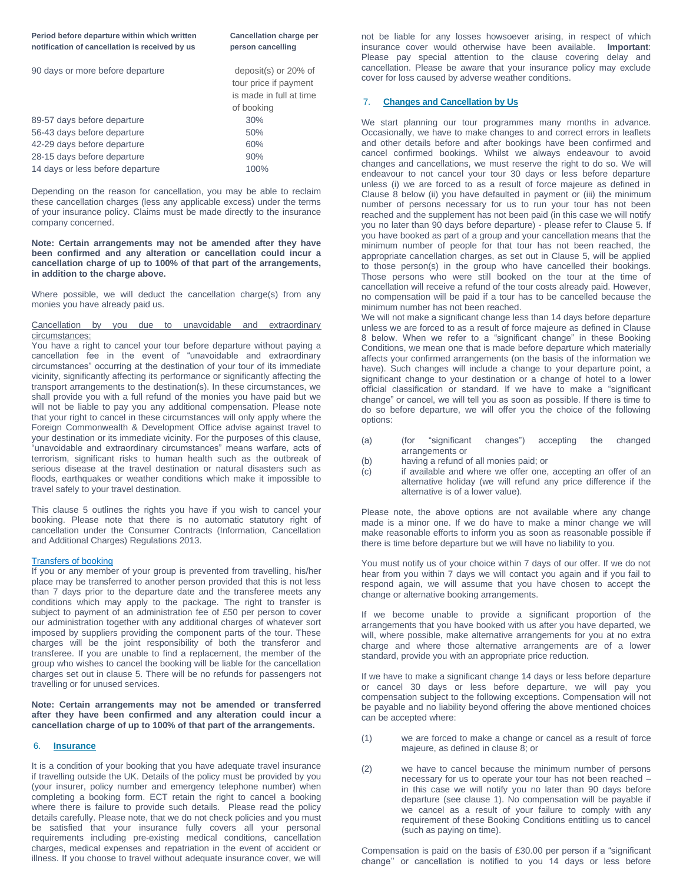| Period before departure within which written<br>notification of cancellation is received by us | <b>Cancellation charge per</b><br>person cancelling                                       |
|------------------------------------------------------------------------------------------------|-------------------------------------------------------------------------------------------|
| 90 days or more before departure                                                               | deposit(s) or $20\%$ of<br>tour price if payment<br>is made in full at time<br>of booking |
| 89-57 days before departure                                                                    | 30%                                                                                       |
| 56-43 days before departure                                                                    | 50%                                                                                       |
| 42-29 days before departure                                                                    | 60%                                                                                       |
| 28-15 days before departure                                                                    | 90%                                                                                       |
| 14 days or less before departure                                                               | 100%                                                                                      |
|                                                                                                |                                                                                           |

Depending on the reason for cancellation, you may be able to reclaim these cancellation charges (less any applicable excess) under the terms of your insurance policy. Claims must be made directly to the insurance company concerned.

**Note: Certain arrangements may not be amended after they have been confirmed and any alteration or cancellation could incur a cancellation charge of up to 100% of that part of the arrangements, in addition to the charge above.**

Where possible, we will deduct the cancellation charge(s) from any monies you have already paid us.

Cancellation by you due to unavoidable and extraordinary circumstances:

You have a right to cancel your tour before departure without paying a cancellation fee in the event of "unavoidable and extraordinary circumstances" occurring at the destination of your tour of its immediate vicinity, significantly affecting its performance or significantly affecting the transport arrangements to the destination(s). In these circumstances, we shall provide you with a full refund of the monies you have paid but we will not be liable to pay you any additional compensation. Please note that your right to cancel in these circumstances will only apply where the Foreign Commonwealth & Development Office advise against travel to your destination or its immediate vicinity. For the purposes of this clause, "unavoidable and extraordinary circumstances" means warfare, acts of terrorism, significant risks to human health such as the outbreak of serious disease at the travel destination or natural disasters such as floods, earthquakes or weather conditions which make it impossible to travel safely to your travel destination.

This clause 5 outlines the rights you have if you wish to cancel your booking. Please note that there is no automatic statutory right of cancellation under the Consumer Contracts (Information, Cancellation and Additional Charges) Regulations 2013.

#### Transfers of booking

If you or any member of your group is prevented from travelling, his/her place may be transferred to another person provided that this is not less than 7 days prior to the departure date and the transferee meets any conditions which may apply to the package. The right to transfer is subject to payment of an administration fee of £50 per person to cover our administration together with any additional charges of whatever sort imposed by suppliers providing the component parts of the tour. These charges will be the joint responsibility of both the transferor and transferee. If you are unable to find a replacement, the member of the group who wishes to cancel the booking will be liable for the cancellation charges set out in clause 5. There will be no refunds for passengers not travelling or for unused services.

### **Note: Certain arrangements may not be amended or transferred after they have been confirmed and any alteration could incur a cancellation charge of up to 100% of that part of the arrangements.**

#### 6. **Insurance**

It is a condition of your booking that you have adequate travel insurance if travelling outside the UK. Details of the policy must be provided by you (your insurer, policy number and emergency telephone number) when completing a booking form. ECT retain the right to cancel a booking where there is failure to provide such details. Please read the policy details carefully. Please note, that we do not check policies and you must be satisfied that your insurance fully covers all your personal requirements including pre-existing medical conditions, cancellation charges, medical expenses and repatriation in the event of accident or illness. If you choose to travel without adequate insurance cover, we will

not be liable for any losses howsoever arising, in respect of which insurance cover would otherwise have been available. **Important**: Please pay special attention to the clause covering delay and cancellation. Please be aware that your insurance policy may exclude cover for loss caused by adverse weather conditions.

# 7. **Changes and Cancellation by Us**

We start planning our tour programmes many months in advance. Occasionally, we have to make changes to and correct errors in leaflets and other details before and after bookings have been confirmed and cancel confirmed bookings. Whilst we always endeavour to avoid changes and cancellations, we must reserve the right to do so. We will endeavour to not cancel your tour 30 days or less before departure unless (i) we are forced to as a result of force majeure as defined in Clause 8 below (ii) you have defaulted in payment or (iii) the minimum number of persons necessary for us to run your tour has not been reached and the supplement has not been paid (in this case we will notify you no later than 90 days before departure) - please refer to Clause 5. If you have booked as part of a group and your cancellation means that the minimum number of people for that tour has not been reached, the appropriate cancellation charges, as set out in Clause 5, will be applied to those person(s) in the group who have cancelled their bookings. Those persons who were still booked on the tour at the time of cancellation will receive a refund of the tour costs already paid. However, no compensation will be paid if a tour has to be cancelled because the minimum number has not been reached.

We will not make a significant change less than 14 days before departure unless we are forced to as a result of force majeure as defined in Clause 8 below. When we refer to a "significant change" in these Booking Conditions, we mean one that is made before departure which materially affects your confirmed arrangements (on the basis of the information we have). Such changes will include a change to your departure point, a significant change to your destination or a change of hotel to a lower official classification or standard. If we have to make a "significant change" or cancel, we will tell you as soon as possible. If there is time to do so before departure, we will offer you the choice of the following options:

- (a) (for "significant changes") accepting the changed arrangements or
- (b) having a refund of all monies paid; or<br>(c) if available and where we offer one,
- if available and where we offer one, accepting an offer of an alternative holiday (we will refund any price difference if the alternative is of a lower value).

Please note, the above options are not available where any change made is a minor one. If we do have to make a minor change we will make reasonable efforts to inform you as soon as reasonable possible if there is time before departure but we will have no liability to you.

You must notify us of your choice within 7 days of our offer. If we do not hear from you within 7 days we will contact you again and if you fail to respond again, we will assume that you have chosen to accept the change or alternative booking arrangements.

If we become unable to provide a significant proportion of the arrangements that you have booked with us after you have departed, we will, where possible, make alternative arrangements for you at no extra charge and where those alternative arrangements are of a lower standard, provide you with an appropriate price reduction.

If we have to make a significant change 14 days or less before departure or cancel 30 days or less before departure, we will pay you compensation subject to the following exceptions. Compensation will not be payable and no liability beyond offering the above mentioned choices can be accepted where:

- (1) we are forced to make a change or cancel as a result of force majeure, as defined in clause 8; or
- (2) we have to cancel because the minimum number of persons necessary for us to operate your tour has not been reached – in this case we will notify you no later than 90 days before departure (see clause 1). No compensation will be payable if we cancel as a result of your failure to comply with any requirement of these Booking Conditions entitling us to cancel (such as paying on time).

Compensation is paid on the basis of £30.00 per person if a "significant change'' or cancellation is notified to you 14 days or less before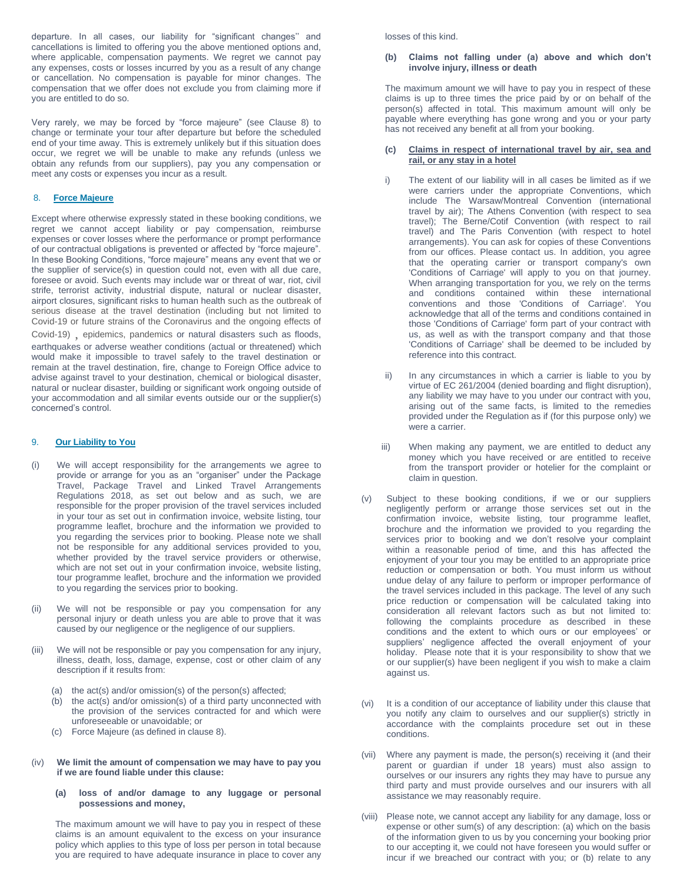departure. In all cases, our liability for "significant changes'' and cancellations is limited to offering you the above mentioned options and, where applicable, compensation payments. We regret we cannot pay any expenses, costs or losses incurred by you as a result of any change or cancellation. No compensation is payable for minor changes. The compensation that we offer does not exclude you from claiming more if you are entitled to do so.

Very rarely, we may be forced by "force majeure" (see Clause 8) to change or terminate your tour after departure but before the scheduled end of your time away. This is extremely unlikely but if this situation does occur, we regret we will be unable to make any refunds (unless we obtain any refunds from our suppliers), pay you any compensation or meet any costs or expenses you incur as a result.

## 8. **Force Majeure**

Except where otherwise expressly stated in these booking conditions, we regret we cannot accept liability or pay compensation, reimburse expenses or cover losses where the performance or prompt performance of our contractual obligations is prevented or affected by "force majeure". In these Booking Conditions, "force majeure" means any event that we or the supplier of service(s) in question could not, even with all due care, foresee or avoid. Such events may include war or threat of war, riot, civil strife, terrorist activity, industrial dispute, natural or nuclear disaster, airport closures, significant risks to human health such as the outbreak of serious disease at the travel destination (including but not limited to Covid-19 or future strains of the Coronavirus and the ongoing effects of Covid-19) , epidemics, pandemics or natural disasters such as floods, earthquakes or adverse weather conditions (actual or threatened) which would make it impossible to travel safely to the travel destination or remain at the travel destination, fire, change to Foreign Office advice to advise against travel to your destination, chemical or biological disaster, natural or nuclear disaster, building or significant work ongoing outside of your accommodation and all similar events outside our or the supplier(s) concerned's control.

# 9. **Our Liability to You**

- (i) We will accept responsibility for the arrangements we agree to provide or arrange for you as an "organiser" under the Package Travel, Package Travel and Linked Travel Arrangements Regulations 2018, as set out below and as such, we are responsible for the proper provision of the travel services included in your tour as set out in confirmation invoice, website listing, tour programme leaflet, brochure and the information we provided to you regarding the services prior to booking. Please note we shall not be responsible for any additional services provided to you, whether provided by the travel service providers or otherwise, which are not set out in your confirmation invoice, website listing, tour programme leaflet, brochure and the information we provided to you regarding the services prior to booking.
- (ii) We will not be responsible or pay you compensation for any personal injury or death unless you are able to prove that it was caused by our negligence or the negligence of our suppliers.
- (iii) We will not be responsible or pay you compensation for any injury, illness, death, loss, damage, expense, cost or other claim of any description if it results from:
	- the act(s) and/or omission(s) of the person(s) affected;
	- (b) the act(s) and/or omission(s) of a third party unconnected with the provision of the services contracted for and which were unforeseeable or unavoidable; or
	- (c) Force Majeure (as defined in clause 8).
- (iv) **We limit the amount of compensation we may have to pay you if we are found liable under this clause:**
	- **(a) loss of and/or damage to any luggage or personal possessions and money,**

The maximum amount we will have to pay you in respect of these claims is an amount equivalent to the excess on your insurance policy which applies to this type of loss per person in total because you are required to have adequate insurance in place to cover any losses of this kind.

### **(b) Claims not falling under (a) above and which don't involve injury, illness or death**

The maximum amount we will have to pay you in respect of these claims is up to three times the price paid by or on behalf of the person(s) affected in total. This maximum amount will only be payable where everything has gone wrong and you or your party has not received any benefit at all from your booking.

### **(c) Claims in respect of international travel by air, sea and rail, or any stay in a hotel**

- i) The extent of our liability will in all cases be limited as if we were carriers under the appropriate Conventions, which include The Warsaw/Montreal Convention (international travel by air); The Athens Convention (with respect to sea travel); The Berne/Cotif Convention (with respect to rail travel) and The Paris Convention (with respect to hotel arrangements). You can ask for copies of these Conventions from our offices. Please contact us. In addition, you agree that the operating carrier or transport company's own 'Conditions of Carriage' will apply to you on that journey. When arranging transportation for you, we rely on the terms and conditions contained within these international conventions and those 'Conditions of Carriage'. You acknowledge that all of the terms and conditions contained in those 'Conditions of Carriage' form part of your contract with us, as well as with the transport company and that those 'Conditions of Carriage' shall be deemed to be included by reference into this contract.
- ii) In any circumstances in which a carrier is liable to you by virtue of EC 261/2004 (denied boarding and flight disruption), any liability we may have to you under our contract with you, arising out of the same facts, is limited to the remedies provided under the Regulation as if (for this purpose only) we were a carrier.
- iii) When making any payment, we are entitled to deduct any money which you have received or are entitled to receive from the transport provider or hotelier for the complaint or claim in question.
- (v) Subject to these booking conditions, if we or our suppliers negligently perform or arrange those services set out in the confirmation invoice, website listing, tour programme leaflet, brochure and the information we provided to you regarding the services prior to booking and we don't resolve your complaint within a reasonable period of time, and this has affected the enjoyment of your tour you may be entitled to an appropriate price reduction or compensation or both. You must inform us without undue delay of any failure to perform or improper performance of the travel services included in this package. The level of any such price reduction or compensation will be calculated taking into consideration all relevant factors such as but not limited to: following the complaints procedure as described in these conditions and the extent to which ours or our employees' or suppliers' negligence affected the overall enjoyment of your holiday. Please note that it is your responsibility to show that we or our supplier(s) have been negligent if you wish to make a claim against us.
- (vi) It is a condition of our acceptance of liability under this clause that you notify any claim to ourselves and our supplier(s) strictly in accordance with the complaints procedure set out in these conditions.
- (vii) Where any payment is made, the person(s) receiving it (and their parent or guardian if under 18 years) must also assign to ourselves or our insurers any rights they may have to pursue any third party and must provide ourselves and our insurers with all assistance we may reasonably require.
- (viii) Please note, we cannot accept any liability for any damage, loss or expense or other sum(s) of any description: (a) which on the basis of the information given to us by you concerning your booking prior to our accepting it, we could not have foreseen you would suffer or incur if we breached our contract with you; or (b) relate to any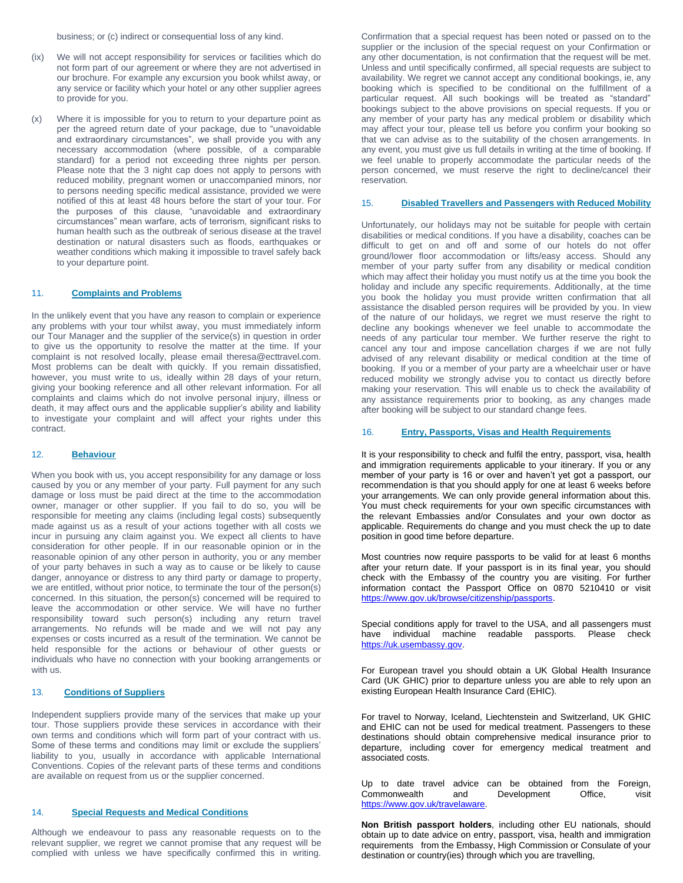business; or (c) indirect or consequential loss of any kind.

- (ix) We will not accept responsibility for services or facilities which do not form part of our agreement or where they are not advertised in our brochure. For example any excursion you book whilst away, or any service or facility which your hotel or any other supplier agrees to provide for you.
- (x) Where it is impossible for you to return to your departure point as per the agreed return date of your package, due to "unavoidable and extraordinary circumstances", we shall provide you with any necessary accommodation (where possible, of a comparable standard) for a period not exceeding three nights per person. Please note that the 3 night cap does not apply to persons with reduced mobility, pregnant women or unaccompanied minors, nor to persons needing specific medical assistance, provided we were notified of this at least 48 hours before the start of your tour. For the purposes of this clause, "unavoidable and extraordinary circumstances" mean warfare, acts of terrorism, significant risks to human health such as the outbreak of serious disease at the travel destination or natural disasters such as floods, earthquakes or weather conditions which making it impossible to travel safely back to your departure point.

#### 11. **Complaints and Problems**

In the unlikely event that you have any reason to complain or experience any problems with your tour whilst away, you must immediately inform our Tour Manager and the supplier of the service(s) in question in order to give us the opportunity to resolve the matter at the time. If your complaint is not resolved locally, please email theresa@ecttravel.com. Most problems can be dealt with quickly. If you remain dissatisfied, however, you must write to us, ideally within 28 days of your return, giving your booking reference and all other relevant information. For all complaints and claims which do not involve personal injury, illness or death, it may affect ours and the applicable supplier's ability and liability to investigate your complaint and will affect your rights under this contract.

# 12. **Behaviour**

When you book with us, you accept responsibility for any damage or loss caused by you or any member of your party. Full payment for any such damage or loss must be paid direct at the time to the accommodation owner, manager or other supplier. If you fail to do so, you will be responsible for meeting any claims (including legal costs) subsequently made against us as a result of your actions together with all costs we incur in pursuing any claim against you. We expect all clients to have consideration for other people. If in our reasonable opinion or in the reasonable opinion of any other person in authority, you or any member of your party behaves in such a way as to cause or be likely to cause danger, annoyance or distress to any third party or damage to property, we are entitled, without prior notice, to terminate the tour of the person(s) concerned. In this situation, the person(s) concerned will be required to leave the accommodation or other service. We will have no further responsibility toward such person(s) including any return travel arrangements. No refunds will be made and we will not pay any expenses or costs incurred as a result of the termination. We cannot be held responsible for the actions or behaviour of other guests or individuals who have no connection with your booking arrangements or with us.

# 13. **Conditions of Suppliers**

Independent suppliers provide many of the services that make up your tour. Those suppliers provide these services in accordance with their own terms and conditions which will form part of your contract with us. Some of these terms and conditions may limit or exclude the suppliers' liability to you, usually in accordance with applicable International Conventions. Copies of the relevant parts of these terms and conditions are available on request from us or the supplier concerned.

# 14. **Special Requests and Medical Conditions**

Although we endeavour to pass any reasonable requests on to the relevant supplier, we regret we cannot promise that any request will be complied with unless we have specifically confirmed this in writing.

Confirmation that a special request has been noted or passed on to the supplier or the inclusion of the special request on your Confirmation or any other documentation, is not confirmation that the request will be met. Unless and until specifically confirmed, all special requests are subject to availability. We regret we cannot accept any conditional bookings, ie, any booking which is specified to be conditional on the fulfillment of a particular request. All such bookings will be treated as "standard" bookings subject to the above provisions on special requests. If you or any member of your party has any medical problem or disability which may affect your tour, please tell us before you confirm your booking so that we can advise as to the suitability of the chosen arrangements. In any event, you must give us full details in writing at the time of booking. If we feel unable to properly accommodate the particular needs of the person concerned, we must reserve the right to decline/cancel their reservation.

## 15. **Disabled Travellers and Passengers with Reduced Mobility**

Unfortunately, our holidays may not be suitable for people with certain disabilities or medical conditions. If you have a disability, coaches can be difficult to get on and off and some of our hotels do not offer ground/lower floor accommodation or lifts/easy access. Should any member of your party suffer from any disability or medical condition which may affect their holiday you must notify us at the time you book the holiday and include any specific requirements. Additionally, at the time you book the holiday you must provide written confirmation that all assistance the disabled person requires will be provided by you. In view of the nature of our holidays, we regret we must reserve the right to decline any bookings whenever we feel unable to accommodate the needs of any particular tour member. We further reserve the right to cancel any tour and impose cancellation charges if we are not fully advised of any relevant disability or medical condition at the time of booking. If you or a member of your party are a wheelchair user or have reduced mobility we strongly advise you to contact us directly before making your reservation. This will enable us to check the availability of any assistance requirements prior to booking, as any changes made after booking will be subject to our standard change fees.

### 16. **Entry, Passports, Visas and Health Requirements**

It is your responsibility to check and fulfil the entry, passport, visa, health and immigration requirements applicable to your itinerary. If you or any member of your party is 16 or over and haven't yet got a passport, our recommendation is that you should apply for one at least 6 weeks before your arrangements. We can only provide general information about this. You must check requirements for your own specific circumstances with the relevant Embassies and/or Consulates and your own doctor as applicable. Requirements do change and you must check the up to date position in good time before departure.

Most countries now require passports to be valid for at least 6 months after your return date. If your passport is in its final year, you should check with the Embassy of the country you are visiting. For further information contact the Passport Office on 0870 5210410 or visit [https://www.gov.uk/browse/citizenship/passports.](https://www.gov.uk/browse/citizenship/passports) 

Special conditions apply for travel to the USA, and all passengers must have individual machine readable passports. Please check [https://uk.usembassy.gov.](https://uk.usembassy.gov/) 

For European travel you should obtain a UK Global Health Insurance Card (UK GHIC) prior to departure unless you are able to rely upon an existing European Health Insurance Card (EHIC).

For travel to Norway, Iceland, Liechtenstein and Switzerland, UK GHIC and EHIC can not be used for medical treatment. Passengers to these destinations should obtain comprehensive medical insurance prior to departure, including cover for emergency medical treatment and associated costs.

Up to date travel advice can be obtained from the Foreign, Commonwealth and Development Office, visit [https://www.gov.uk/travelaware.](https://www.gov.uk/travelaware)

**Non British passport holders**, including other EU nationals, should obtain up to date advice on entry, passport, visa, health and immigration requirements from the Embassy, High Commission or Consulate of your destination or country(ies) through which you are travelling,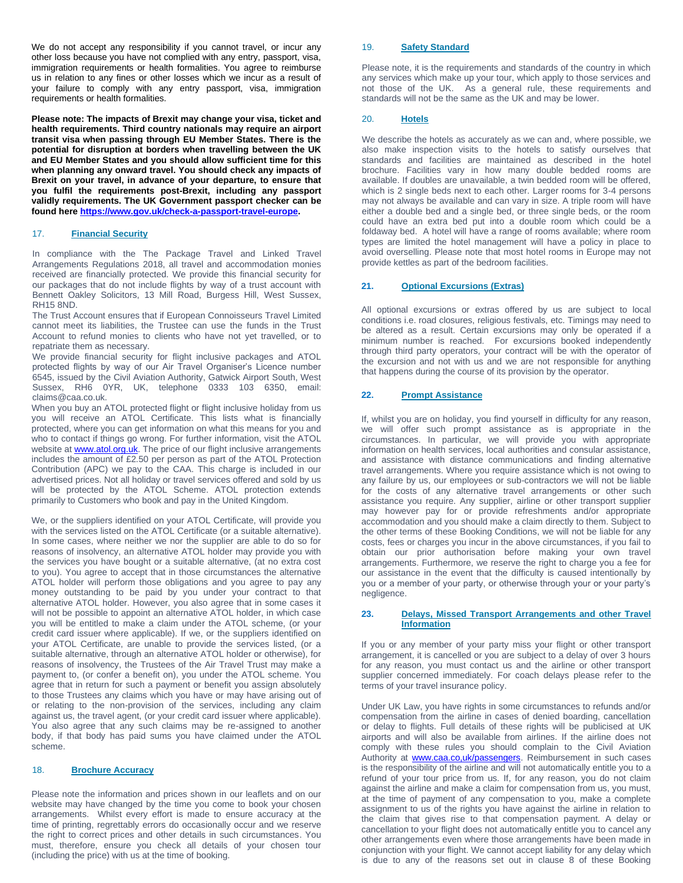We do not accept any responsibility if you cannot travel, or incur any other loss because you have not complied with any entry, passport, visa, immigration requirements or health formalities. You agree to reimburse us in relation to any fines or other losses which we incur as a result of your failure to comply with any entry passport, visa, immigration requirements or health formalities.

**Please note: The impacts of Brexit may change your visa, ticket and health requirements. Third country nationals may require an airport transit visa when passing through EU Member States. There is the potential for disruption at borders when travelling between the UK and EU Member States and you should allow sufficient time for this when planning any onward travel. You should check any impacts of Brexit on your travel, in advance of your departure, to ensure that you fulfil the requirements post-Brexit, including any passport validly requirements. The UK Government passport checker can be found here [https://www.gov.uk/check-a-passport-travel-europe.](https://www.gov.uk/check-a-passport-travel-europe)**

# 17. **Financial Security**

In compliance with the The Package Travel and Linked Travel Arrangements Regulations 2018, all travel and accommodation monies received are financially protected. We provide this financial security for our packages that do not include flights by way of a trust account with Bennett Oakley Solicitors, 13 Mill Road, Burgess Hill, West Sussex, RH15 8ND.

The Trust Account ensures that if European Connoisseurs Travel Limited cannot meet its liabilities, the Trustee can use the funds in the Trust Account to refund monies to clients who have not yet travelled, or to repatriate them as necessary.

We provide financial security for flight inclusive packages and ATOL protected flights by way of our Air Travel Organiser's Licence number 6545, issued by the Civil Aviation Authority, Gatwick Airport South, West Sussex, RH6 0YR, UK, telephone 0333 103 6350, email: claims@caa.co.uk.

When you buy an ATOL protected flight or flight inclusive holiday from us you will receive an ATOL Certificate. This lists what is financially protected, where you can get information on what this means for you and who to contact if things go wrong. For further information, visit the ATOL website a[t www.atol.org.uk.](http://www.atol.org.uk/) The price of our flight inclusive arrangements includes the amount of £2.50 per person as part of the ATOL Protection Contribution (APC) we pay to the CAA. This charge is included in our advertised prices. Not all holiday or travel services offered and sold by us will be protected by the ATOL Scheme. ATOL protection extends primarily to Customers who book and pay in the United Kingdom.

We, or the suppliers identified on your ATOL Certificate, will provide you with the services listed on the ATOL Certificate (or a suitable alternative). In some cases, where neither we nor the supplier are able to do so for reasons of insolvency, an alternative ATOL holder may provide you with the services you have bought or a suitable alternative, (at no extra cost to you). You agree to accept that in those circumstances the alternative ATOL holder will perform those obligations and you agree to pay any money outstanding to be paid by you under your contract to that alternative ATOL holder. However, you also agree that in some cases it will not be possible to appoint an alternative ATOL holder, in which case you will be entitled to make a claim under the ATOL scheme, (or your credit card issuer where applicable). If we, or the suppliers identified on your ATOL Certificate, are unable to provide the services listed, (or a suitable alternative, through an alternative ATOL holder or otherwise), for reasons of insolvency, the Trustees of the Air Travel Trust may make a payment to, (or confer a benefit on), you under the ATOL scheme. You agree that in return for such a payment or benefit you assign absolutely to those Trustees any claims which you have or may have arising out of or relating to the non-provision of the services, including any claim against us, the travel agent, (or your credit card issuer where applicable). You also agree that any such claims may be re-assigned to another body, if that body has paid sums you have claimed under the ATOL scheme.

### 18. **Brochure Accuracy**

Please note the information and prices shown in our leaflets and on our website may have changed by the time you come to book your chosen arrangements. Whilst every effort is made to ensure accuracy at the time of printing, regrettably errors do occasionally occur and we reserve the right to correct prices and other details in such circumstances. You must, therefore, ensure you check all details of your chosen tour (including the price) with us at the time of booking.

### 19. **Safety Standard**

Please note, it is the requirements and standards of the country in which any services which make up your tour, which apply to those services and not those of the UK. As a general rule, these requirements and standards will not be the same as the UK and may be lower.

### 20. **Hotels**

We describe the hotels as accurately as we can and, where possible, we also make inspection visits to the hotels to satisfy ourselves that standards and facilities are maintained as described in the hotel brochure. Facilities vary in how many double bedded rooms are available. If doubles are unavailable, a twin bedded room will be offered, which is 2 single beds next to each other. Larger rooms for 3-4 persons may not always be available and can vary in size. A triple room will have either a double bed and a single bed, or three single beds, or the room could have an extra bed put into a double room which could be a foldaway bed. A hotel will have a range of rooms available; where room types are limited the hotel management will have a policy in place to avoid overselling. Please note that most hotel rooms in Europe may not provide kettles as part of the bedroom facilities.

### **21. Optional Excursions (Extras)**

All optional excursions or extras offered by us are subject to local conditions i.e. road closures, religious festivals, etc. Timings may need to be altered as a result. Certain excursions may only be operated if a minimum number is reached. For excursions booked independently through third party operators, your contract will be with the operator of the excursion and not with us and we are not responsible for anything that happens during the course of its provision by the operator.

### **22. Prompt Assistance**

If, whilst you are on holiday, you find yourself in difficulty for any reason, we will offer such prompt assistance as is appropriate in the circumstances. In particular, we will provide you with appropriate information on health services, local authorities and consular assistance, and assistance with distance communications and finding alternative travel arrangements. Where you require assistance which is not owing to any failure by us, our employees or sub-contractors we will not be liable for the costs of any alternative travel arrangements or other such assistance you require. Any supplier, airline or other transport supplier may however pay for or provide refreshments and/or appropriate accommodation and you should make a claim directly to them. Subject to the other terms of these Booking Conditions, we will not be liable for any costs, fees or charges you incur in the above circumstances, if you fail to obtain our prior authorisation before making your own travel arrangements. Furthermore, we reserve the right to charge you a fee for our assistance in the event that the difficulty is caused intentionally by you or a member of your party, or otherwise through your or your party's negligence.

#### **23. Delays, Missed Transport Arrangements and other Travel Information**

If you or any member of your party miss your flight or other transport arrangement, it is cancelled or you are subject to a delay of over 3 hours for any reason, you must contact us and the airline or other transport supplier concerned immediately. For coach delays please refer to the terms of your travel insurance policy.

Under UK Law, you have rights in some circumstances to refunds and/or compensation from the airline in cases of denied boarding, cancellation or delay to flights. Full details of these rights will be publicised at UK airports and will also be available from airlines. If the airline does not comply with these rules you should complain to the Civil Aviation Authority at **www.caa.co,uk/passengers**. Reimbursement in such cases is the responsibility of the airline and will not automatically entitle you to a refund of your tour price from us. If, for any reason, you do not claim against the airline and make a claim for compensation from us, you must, at the time of payment of any compensation to you, make a complete assignment to us of the rights you have against the airline in relation to the claim that gives rise to that compensation payment. A delay or cancellation to your flight does not automatically entitle you to cancel any other arrangements even where those arrangements have been made in conjunction with your flight. We cannot accept liability for any delay which is due to any of the reasons set out in clause 8 of these Booking